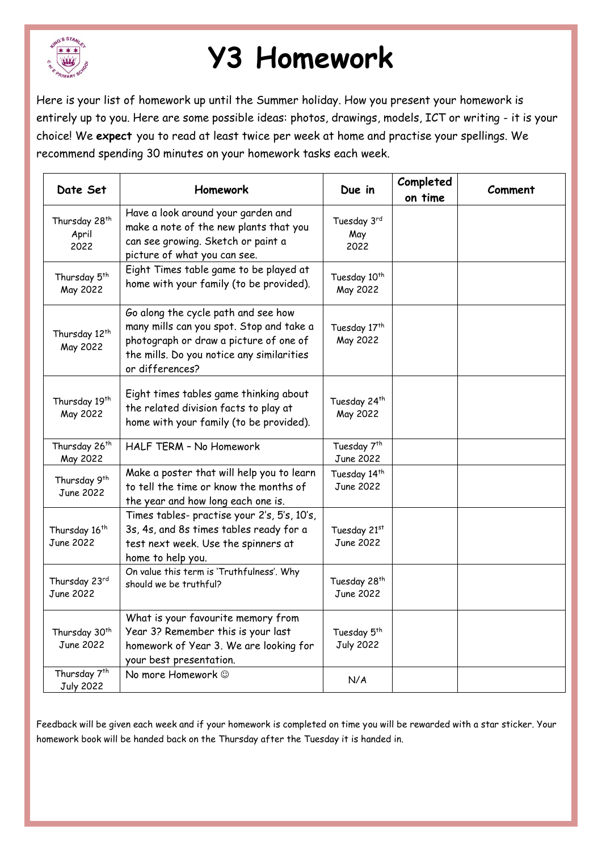

## **Y3 Homework**

Here is your list of homework up until the Summer holiday. How you present your homework is entirely up to you. Here are some possible ideas: photos, drawings, models, ICT or writing - it is your choice! We **expect** you to read at least twice per week at home and practise your spellings. We recommend spending 30 minutes on your homework tasks each week.

| Date Set                                     | Homework                                                                                                                                                                                  | Due in                                      | Completed<br>on time | Comment |
|----------------------------------------------|-------------------------------------------------------------------------------------------------------------------------------------------------------------------------------------------|---------------------------------------------|----------------------|---------|
| Thursday 28 <sup>th</sup><br>April<br>2022   | Have a look around your garden and<br>make a note of the new plants that you<br>can see growing. Sketch or paint a<br>picture of what you can see.                                        | Tuesday 3rd<br>May<br>2022                  |                      |         |
| Thursday 5 <sup>th</sup><br>May 2022         | Eight Times table game to be played at<br>home with your family (to be provided).                                                                                                         | Tuesday 10 <sup>th</sup><br>May 2022        |                      |         |
| Thursday 12 <sup>th</sup><br>May 2022        | Go along the cycle path and see how<br>many mills can you spot. Stop and take a<br>photograph or draw a picture of one of<br>the mills. Do you notice any similarities<br>or differences? | Tuesday 17th<br>May 2022                    |                      |         |
| Thursday 19th<br>May 2022                    | Eight times tables game thinking about<br>the related division facts to play at<br>home with your family (to be provided).                                                                | Tuesday 24 <sup>th</sup><br>May 2022        |                      |         |
| Thursday 26 <sup>th</sup><br>May 2022        | HALF TERM - No Homework                                                                                                                                                                   | Tuesday 7 <sup>th</sup><br>June 2022        |                      |         |
| Thursday 9th<br>June 2022                    | Make a poster that will help you to learn<br>to tell the time or know the months of<br>the year and how long each one is.                                                                 | Tuesday 14 <sup>th</sup><br>June 2022       |                      |         |
| Thursday 16 <sup>th</sup><br>June 2022       | Times tables- practise your 2's, 5's, 10's,<br>3s, 4s, and 8s times tables ready for a<br>test next week. Use the spinners at<br>home to help you.                                        | Tuesday 21st<br>June 2022                   |                      |         |
| Thursday 23rd<br>June 2022                   | On value this term is 'Truthfulness'. Why<br>should we be truthful?                                                                                                                       | Tuesday 28 <sup>th</sup><br>June 2022       |                      |         |
| Thursday 30 <sup>th</sup><br>June 2022       | What is your favourite memory from<br>Year 3? Remember this is your last<br>homework of Year 3. We are looking for<br>your best presentation.                                             | Tuesday 5 <sup>th</sup><br><b>July 2022</b> |                      |         |
| Thursday 7 <sup>th</sup><br><b>July 2022</b> | No more Homework $\odot$                                                                                                                                                                  | N/A                                         |                      |         |

Feedback will be given each week and if your homework is completed on time you will be rewarded with a star sticker. Your homework book will be handed back on the Thursday after the Tuesday it is handed in.